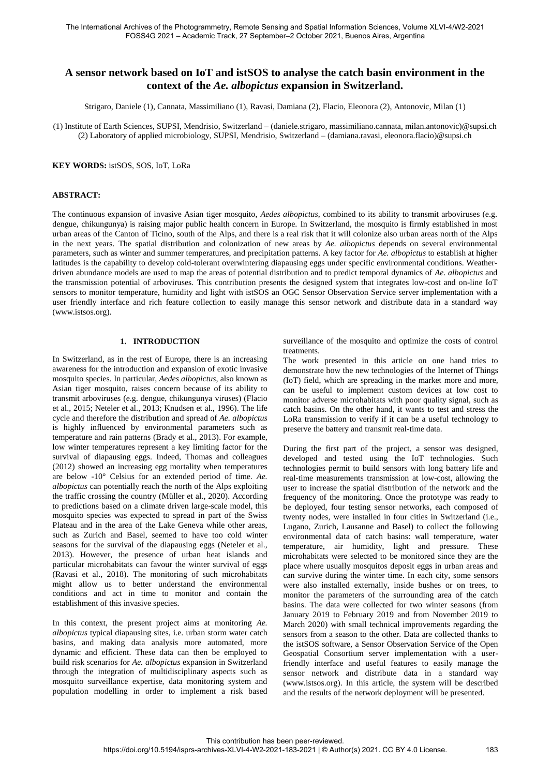# **A sensor network based on IoT and istSOS to analyse the catch basin environment in the context of the** *Ae. albopictus* **expansion in Switzerland.**

Strigaro, Daniele (1), Cannata, Massimiliano (1), Ravasi, Damiana (2), Flacio, Eleonora (2), Antonovic, Milan (1)

(1) Institute of Earth Sciences, SUPSI, Mendrisio, Switzerland – (daniele.strigaro, massimiliano.cannata, milan.antonovic)@supsi.ch (2) Laboratory of applied microbiology, SUPSI, Mendrisio, Switzerland – (damiana.ravasi, eleonora.flacio)@supsi.ch

#### **KEY WORDS:** istSOS, SOS, IoT, LoRa

## **ABSTRACT:**

The continuous expansion of invasive Asian tiger mosquito, *Aedes albopictus*, combined to its ability to transmit arboviruses (e.g. dengue, chikungunya) is raising major public health concern in Europe. In Switzerland, the mosquito is firmly established in most urban areas of the Canton of Ticino, south of the Alps, and there is a real risk that it will colonize also urban areas north of the Alps in the next years. The spatial distribution and colonization of new areas by *Ae. albopictus* depends on several environmental parameters, such as winter and summer temperatures, and precipitation patterns. A key factor for *Ae. albopictus* to establish at higher latitudes is the capability to develop cold-tolerant overwintering diapausing eggs under specific environmental conditions. Weatherdriven abundance models are used to map the areas of potential distribution and to predict temporal dynamics of *Ae. albopictus* and the transmission potential of arboviruses. This contribution presents the designed system that integrates low-cost and on-line IoT sensors to monitor temperature, humidity and light with istSOS an OGC Sensor Observation Service server implementation with a user friendly interface and rich feature collection to easily manage this sensor network and distribute data in a standard way (www.istsos.org).

### **1. INTRODUCTION**

In Switzerland, as in the rest of Europe, there is an increasing awareness for the introduction and expansion of exotic invasive mosquito species. In particular, *Aedes albopictus*, also known as Asian tiger mosquito, raises concern because of its ability to transmit arboviruses (e.g. dengue, chikungunya viruses) (Flacio et al., 2015; Neteler et al., 2013; Knudsen et al., 1996). The life cycle and therefore the distribution and spread of *Ae. albopictus* is highly influenced by environmental parameters such as temperature and rain patterns (Brady et al., 2013). For example, low winter temperatures represent a key limiting factor for the survival of diapausing eggs. Indeed, Thomas and colleagues (2012) showed an increasing egg mortality when temperatures are below -10° Celsius for an extended period of time. *Ae. albopictus* can potentially reach the north of the Alps exploiting the traffic crossing the country (Müller et al., 2020). According to predictions based on a climate driven large-scale model, this mosquito species was expected to spread in part of the Swiss Plateau and in the area of the Lake Geneva while other areas, such as Zurich and Basel, seemed to have too cold winter seasons for the survival of the diapausing eggs (Neteler et al., 2013). However, the presence of urban heat islands and particular microhabitats can favour the winter survival of eggs (Ravasi et al., 2018). The monitoring of such microhabitats might allow us to better understand the environmental conditions and act in time to monitor and contain the establishment of this invasive species.

In this context, the present project aims at monitoring *Ae. albopictus* typical diapausing sites, i.e. urban storm water catch basins, and making data analysis more automated, more dynamic and efficient. These data can then be employed to build risk scenarios for *Ae. albopictus* expansion in Switzerland through the integration of multidisciplinary aspects such as mosquito surveillance expertise, data monitoring system and population modelling in order to implement a risk based

surveillance of the mosquito and optimize the costs of control treatments.

The work presented in this article on one hand tries to demonstrate how the new technologies of the Internet of Things (IoT) field, which are spreading in the market more and more, can be useful to implement custom devices at low cost to monitor adverse microhabitats with poor quality signal, such as catch basins. On the other hand, it wants to test and stress the LoRa transmission to verify if it can be a useful technology to preserve the battery and transmit real-time data.

During the first part of the project, a sensor was designed, developed and tested using the IoT technologies. Such technologies permit to build sensors with long battery life and real-time measurements transmission at low-cost, allowing the user to increase the spatial distribution of the network and the frequency of the monitoring. Once the prototype was ready to be deployed, four testing sensor networks, each composed of twenty nodes, were installed in four cities in Switzerland (i.e., Lugano, Zurich, Lausanne and Basel) to collect the following environmental data of catch basins: wall temperature, water temperature, air humidity, light and pressure. These microhabitats were selected to be monitored since they are the place where usually mosquitos deposit eggs in urban areas and can survive during the winter time. In each city, some sensors were also installed externally, inside bushes or on trees, to monitor the parameters of the surrounding area of the catch basins. The data were collected for two winter seasons (from January 2019 to February 2019 and from November 2019 to March 2020) with small technical improvements regarding the sensors from a season to the other. Data are collected thanks to the istSOS software, a Sensor Observation Service of the Open Geospatial Consortium server implementation with a userfriendly interface and useful features to easily manage the sensor network and distribute data in a standard way [\(www.istsos.org\)](http://www.istsos.org/). In this article, the system will be described and the results of the network deployment will be presented.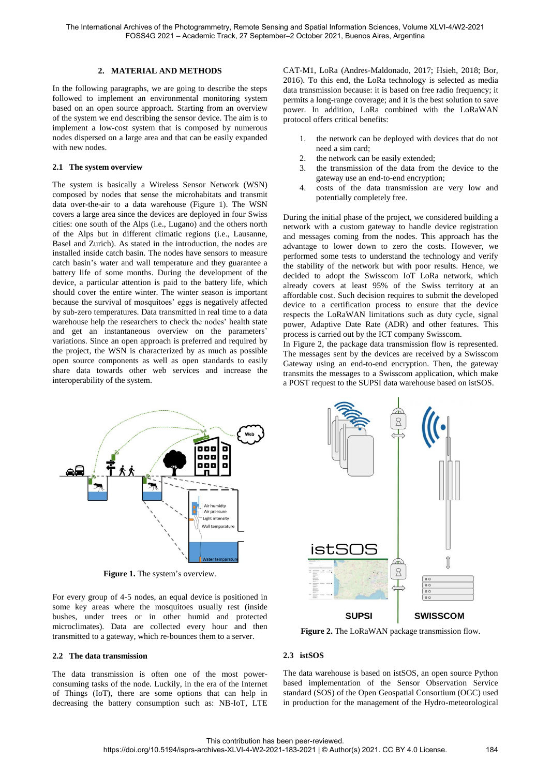## **2. MATERIAL AND METHODS**

In the following paragraphs, we are going to describe the steps followed to implement an environmental monitoring system based on an open source approach. Starting from an overview of the system we end describing the sensor device. The aim is to implement a low-cost system that is composed by numerous nodes dispersed on a large area and that can be easily expanded with new nodes.

## **2.1 The system overview**

The system is basically a Wireless Sensor Network (WSN) composed by nodes that sense the microhabitats and transmit data over-the-air to a data warehouse [\(Figure 1\)](#page-1-0). The WSN covers a large area since the devices are deployed in four Swiss cities: one south of the Alps (i.e., Lugano) and the others north of the Alps but in different climatic regions (i.e., Lausanne, Basel and Zurich). As stated in the introduction, the nodes are installed inside catch basin. The nodes have sensors to measure catch basin's water and wall temperature and they guarantee a battery life of some months. During the development of the device, a particular attention is paid to the battery life, which should cover the entire winter. The winter season is important because the survival of mosquitoes' eggs is negatively affected by sub-zero temperatures. Data transmitted in real time to a data warehouse help the researchers to check the nodes' health state and get an instantaneous overview on the parameters' variations. Since an open approach is preferred and required by the project, the WSN is characterized by as much as possible open source components as well as open standards to easily share data towards other web services and increase the interoperability of the system.



Figure 1. The system's overview.

<span id="page-1-0"></span>For every group of 4-5 nodes, an equal device is positioned in some key areas where the mosquitoes usually rest (inside bushes, under trees or in other humid and protected microclimates). Data are collected every hour and then transmitted to a gateway, which re-bounces them to a server.

#### **2.2 The data transmission**

The data transmission is often one of the most powerconsuming tasks of the node. Luckily, in the era of the Internet of Things (IoT), there are some options that can help in decreasing the battery consumption such as: NB-IoT, LTE CAT-M1, LoRa (Andres-Maldonado, 2017; Hsieh, 2018; Bor, 2016). To this end, the LoRa technology is selected as media data transmission because: it is based on free radio frequency; it permits a long-range coverage; and it is the best solution to save power. In addition, LoRa combined with the LoRaWAN protocol offers critical benefits:

- 1. the network can be deployed with devices that do not need a sim card;
- 2. the network can be easily extended;
- 3. the transmission of the data from the device to the gateway use an end-to-end encryption;
- 4. costs of the data transmission are very low and potentially completely free.

During the initial phase of the project, we considered building a network with a custom gateway to handle device registration and messages coming from the nodes. This approach has the advantage to lower down to zero the costs. However, we performed some tests to understand the technology and verify the stability of the network but with poor results. Hence, we decided to adopt the Swisscom IoT LoRa network, which already covers at least 95% of the Swiss territory at an affordable cost. Such decision requires to submit the developed device to a certification process to ensure that the device respects the LoRaWAN limitations such as duty cycle, signal power, Adaptive Date Rate (ADR) and other features. This process is carried out by the ICT company Swisscom.

In [Figure 2,](#page-1-1) the package data transmission flow is represented. The messages sent by the devices are received by a Swisscom Gateway using an end-to-end encryption. Then, the gateway transmits the messages to a Swisscom application, which make a POST request to the SUPSI data warehouse based on istSOS.



<span id="page-1-1"></span>**Figure 2.** The LoRaWAN package transmission flow.

#### **2.3 istSOS**

The data warehouse is based on istSOS, an open source Python based implementation of the Sensor Observation Service standard (SOS) of the Open Geospatial Consortium (OGC) used in production for the management of the Hydro-meteorological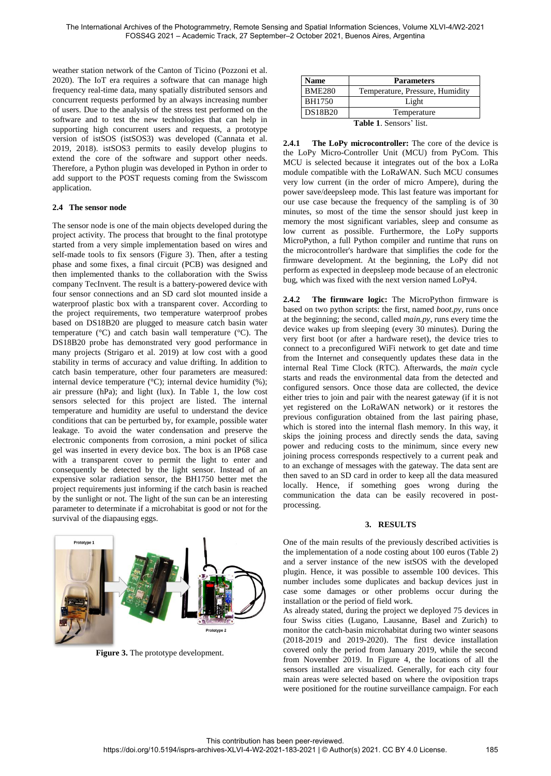weather station network of the Canton of Ticino (Pozzoni et al. 2020). The IoT era requires a software that can manage high frequency real-time data, many spatially distributed sensors and concurrent requests performed by an always increasing number of users. Due to the analysis of the stress test performed on the software and to test the new technologies that can help in supporting high concurrent users and requests, a prototype version of istSOS (istSOS3) was developed (Cannata et al. 2019, 2018). istSOS3 permits to easily develop plugins to extend the core of the software and support other needs. Therefore, a Python plugin was developed in Python in order to add support to the POST requests coming from the Swisscom application.

## **2.4 The sensor node**

The sensor node is one of the main objects developed during the project activity. The process that brought to the final prototype started from a very simple implementation based on wires and self-made tools to fix sensors (Figure 3). Then, after a testing phase and some fixes, a final circuit (PCB) was designed and then implemented thanks to the collaboration with the Swiss company TecInvent. The result is a battery-powered device with four sensor connections and an SD card slot mounted inside a waterproof plastic box with a transparent cover. According to the project requirements, two temperature waterproof probes based on DS18B20 are plugged to measure catch basin water temperature (°C) and catch basin wall temperature (°C). The DS18B20 probe has demonstrated very good performance in many projects (Strigaro et al. 2019) at low cost with a good stability in terms of accuracy and value drifting. In addition to catch basin temperature, other four parameters are measured: internal device temperature  $({}^{\circ}C)$ ; internal device humidity  $({}^{\circ}C)$ ; air pressure (hPa); and light (lux). In [Table 1,](#page-2-0) the low cost sensors selected for this project are listed. The internal temperature and humidity are useful to understand the device conditions that can be perturbed by, for example, possible water leakage. To avoid the water condensation and preserve the electronic components from corrosion, a mini pocket of silica gel was inserted in every device box. The box is an IP68 case with a transparent cover to permit the light to enter and consequently be detected by the light sensor. Instead of an expensive solar radiation sensor, the BH1750 better met the project requirements just informing if the catch basin is reached by the sunlight or not. The light of the sun can be an interesting parameter to determinate if a microhabitat is good or not for the survival of the diapausing eggs.



**Figure 3.** The prototype development.

| <b>Name</b>                    | <b>Parameters</b>               |  |
|--------------------------------|---------------------------------|--|
| <b>BME280</b>                  | Temperature, Pressure, Humidity |  |
| BH1750                         | Light                           |  |
| <b>DS18B20</b>                 | Temperature                     |  |
| <b>Table 1. Sensors' list.</b> |                                 |  |

<span id="page-2-0"></span>**2.4.1 The LoPy microcontroller:** The core of the device is the LoPy Micro-Controller Unit (MCU) from PyCom. This MCU is selected because it integrates out of the box a LoRa module compatible with the LoRaWAN. Such MCU consumes very low current (in the order of micro Ampere), during the power save/deepsleep mode. This last feature was important for our use case because the frequency of the sampling is of 30 minutes, so most of the time the sensor should just keep in memory the most significant variables, sleep and consume as low current as possible. Furthermore, the LoPy supports MicroPython, a full Python compiler and runtime that runs on the microcontroller's hardware that simplifies the code for the firmware development. At the beginning, the LoPy did not perform as expected in deepsleep mode because of an electronic bug, which was fixed with the next version named LoPy4.

**2.4.2 The firmware logic:** The MicroPython firmware is based on two python scripts: the first, named *boot.py,* runs once at the beginning; the second, called *main.py*, runs every time the device wakes up from sleeping (every 30 minutes). During the very first boot (or after a hardware reset), the device tries to connect to a preconfigured WiFi network to get date and time from the Internet and consequently updates these data in the internal Real Time Clock (RTC). Afterwards, the *main* cycle starts and reads the environmental data from the detected and configured sensors. Once those data are collected, the device either tries to join and pair with the nearest gateway (if it is not yet registered on the LoRaWAN network) or it restores the previous configuration obtained from the last pairing phase, which is stored into the internal flash memory. In this way, it skips the joining process and directly sends the data, saving power and reducing costs to the minimum, since every new joining process corresponds respectively to a current peak and to an exchange of messages with the gateway. The data sent are then saved to an SD card in order to keep all the data measured locally. Hence, if something goes wrong during the communication the data can be easily recovered in postprocessing.

#### **3. RESULTS**

One of the main results of the previously described activities is the implementation of a node costing about 100 euros [\(Table 2\)](#page-3-0) and a server instance of the new istSOS with the developed plugin. Hence, it was possible to assemble 100 devices. This number includes some duplicates and backup devices just in case some damages or other problems occur during the installation or the period of field work.

As already stated, during the project we deployed 75 devices in four Swiss cities (Lugano, Lausanne, Basel and Zurich) to monitor the catch-basin microhabitat during two winter seasons (2018-2019 and 2019-2020). The first device installation covered only the period from January 2019, while the second from November 2019. In [Figure 4,](#page-3-1) the locations of all the sensors installed are visualized. Generally, for each city four main areas were selected based on where the oviposition traps were positioned for the routine surveillance campaign. For each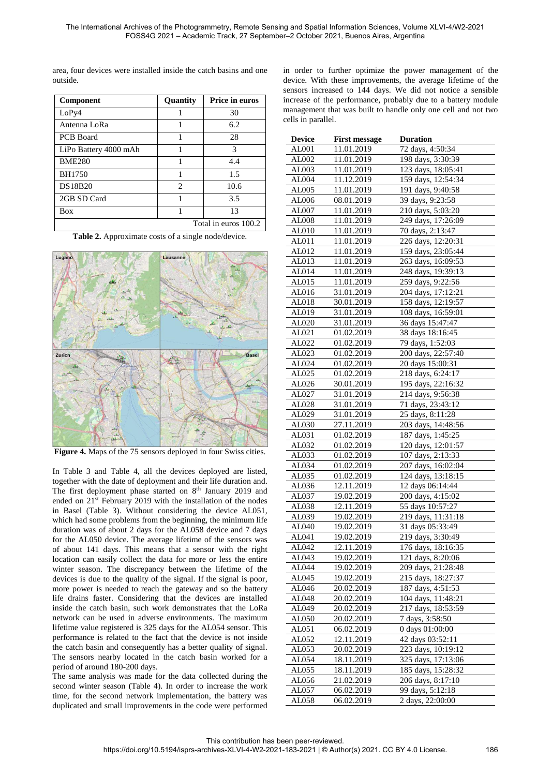area, four devices were installed inside the catch basins and one outside.

| <b>Component</b>      | Quantity                      | <b>Price in euros</b> |
|-----------------------|-------------------------------|-----------------------|
| LoPy4                 |                               | 30                    |
| Antenna LoRa          |                               | 6.2                   |
| <b>PCB</b> Board      |                               | 28                    |
| LiPo Battery 4000 mAh |                               | 3                     |
| <b>BME280</b>         |                               | 4.4                   |
| <b>BH1750</b>         |                               | 1.5                   |
| <b>DS18B20</b>        | $\mathfrak{D}_{\mathfrak{p}}$ | 10.6                  |
| 2GB SD Card           |                               | 3.5                   |
| <b>Box</b>            |                               | 13                    |
|                       |                               | Total in euros 100.2  |

**Table 2.** Approximate costs of a single node/device.

<span id="page-3-0"></span>

<span id="page-3-1"></span>**Figure 4.** Maps of the 75 sensors deployed in four Swiss cities.

In [Table 3](#page-4-0) and Table 4, all the devices deployed are listed, together with the date of deployment and their life duration and. The first deployment phase started on 8<sup>th</sup> January 2019 and ended on 21<sup>st</sup> February 2019 with the installation of the nodes in Basel (Table 3). Without considering the device AL051, which had some problems from the beginning, the minimum life duration was of about 2 days for the AL058 device and 7 days for the AL050 device. The average lifetime of the sensors was of about 141 days. This means that a sensor with the right location can easily collect the data for more or less the entire winter season. The discrepancy between the lifetime of the devices is due to the quality of the signal. If the signal is poor, more power is needed to reach the gateway and so the battery life drains faster. Considering that the devices are installed inside the catch basin, such work demonstrates that the LoRa network can be used in adverse environments. The maximum lifetime value registered is 325 days for the AL054 sensor. This performance is related to the fact that the device is not inside the catch basin and consequently has a better quality of signal. The sensors nearby located in the catch basin worked for a period of around 180-200 days.

The same analysis was made for the data collected during the second winter season [\(Table 4\)](#page-4-1). In order to increase the work time, for the second network implementation, the battery was duplicated and small improvements in the code were performed in order to further optimize the power management of the device. With these improvements, the average lifetime of the sensors increased to 144 days. We did not notice a sensible increase of the performance, probably due to a battery module management that was built to handle only one cell and not two cells in parallel.

| <b>Device</b> | <b>First message</b> | <b>Duration</b>    |
|---------------|----------------------|--------------------|
| AL001         | 11.01.2019           | 72 days, 4:50:34   |
| AL002         | 11.01.2019           | 198 days, 3:30:39  |
| AL003         | 11.01.2019           | 123 days, 18:05:41 |
| AL004         | 11.12.2019           | 159 days, 12:54:34 |
| AL005         | 11.01.2019           | 191 days, 9:40:58  |
| AL006         | 08.01.2019           | 39 days, 9:23:58   |
| AL007         | 11.01.2019           | 210 days, 5:03:20  |
| AL008         | 11.01.2019           | 249 days, 17:26:09 |
| AL010         | 11.01.2019           | 70 days, 2:13:47   |
| AL011         | 11.01.2019           | 226 days, 12:20:31 |
| AL012         | 11.01.2019           | 159 days, 23:05:44 |
| AL013         | 11.01.2019           | 263 days, 16:09:53 |
| AL014         | 11.01.2019           | 248 days, 19:39:13 |
| AL015         | 11.01.2019           | 259 days, 9:22:56  |
| AL016         | 31.01.2019           | 204 days, 17:12:21 |
| AL018         | 30.01.2019           | 158 days, 12:19:57 |
| AL019         | 31.01.2019           | 108 days, 16:59:01 |
| AL020         | 31.01.2019           | 36 days 15:47:47   |
| AL021         | 01.02.2019           | 38 days 18:16:45   |
| AL022         | 01.02.2019           | 79 days, 1:52:03   |
| AL023         | 01.02.2019           | 200 days, 22:57:40 |
| AL024         | 01.02.2019           | 20 days 15:00:31   |
| AL025         | 01.02.2019           | 218 days, 6:24:17  |
| AL026         | 30.01.2019           | 195 days, 22:16:32 |
| AL027         | 31.01.2019           | 214 days, 9:56:38  |
| AL028         | 31.01.2019           | 71 days, 23:43:12  |
| AL029         | 31.01.2019           | 25 days, 8:11:28   |
| AL030         | 27.11.2019           | 203 days, 14:48:56 |
| AL031         | 01.02.2019           | 187 days, 1:45:25  |
| AL032         | 01.02.2019           | 120 days, 12:01:57 |
| AL033         | 01.02.2019           | 107 days, 2:13:33  |
| AL034         | 01.02.2019           | 207 days, 16:02:04 |
| AL035         | 01.02.2019           | 124 days, 13:18:15 |
| AL036         | 12.11.2019           | 12 days 06:14:44   |
| AL037         | 19.02.2019           | 200 days, 4:15:02  |
| AL038         | 12.11.2019           | 55 days 10:57:27   |
| AL039         | 19.02.2019           | 219 days, 11:31:18 |
| AL040         | 19.02.2019           | 31 days 05:33:49   |
| AL041         | 19.02.2019           | 219 days, 3:30:49  |
| AL042         | 12.11.2019           | 176 days, 18:16:35 |
| AL043         | 19.02.2019           | 121 days, 8:20:06  |
| AL044         | 19.02.2019           | 209 days, 21:28:48 |
| AL045         | 19.02.2019           | 215 days, 18:27:37 |
| AL046         | 20.02.2019           | 187 days, 4:51:53  |
| AL048         | 20.02.2019           | 104 days, 11:48:21 |
| AL049         | 20.02.2019           | 217 days, 18:53:59 |
| AL050         | 20.02.2019           | 7 days, 3:58:50    |
| AL051         | 06.02.2019           | 0 days 01:00:00    |
| AL052         | 12.11.2019           | 42 days 03:52:11   |
| AL053         | 20.02.2019           | 223 days, 10:19:12 |
| AL054         | 18.11.2019           | 325 days, 17:13:06 |
| AL055         | 18.11.2019           | 185 days, 15:28:32 |
| AL056         | 21.02.2019           | 206 days, 8:17:10  |
| AL057         | 06.02.2019           | 99 days, 5:12:18   |
| AL058         | 06.02.2019           | 2 days, 22:00:00   |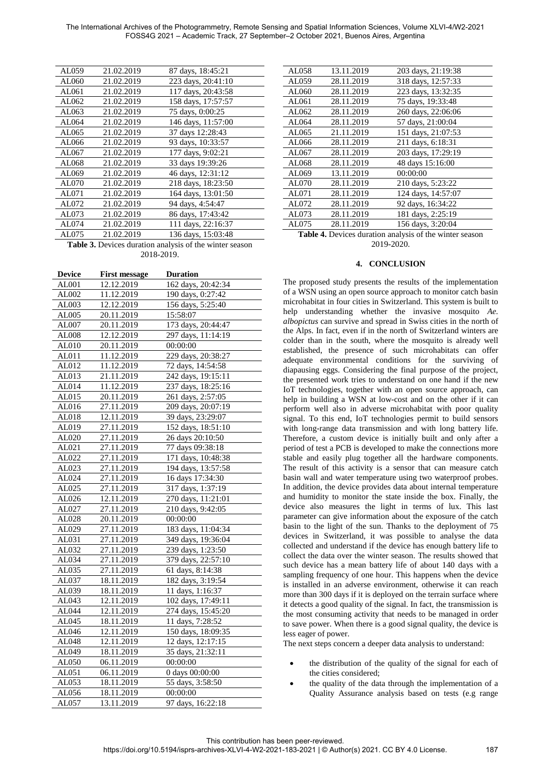The International Archives of the Photogrammetry, Remote Sensing and Spatial Information Sciences, Volume XLVI-4/W2-2021 FOSS4G 2021 – Academic Track, 27 September–2 October 2021, Buenos Aires, Argentina

| AL059 | 21.02.2019 | 87 days, 18:45:21  |
|-------|------------|--------------------|
| AL060 | 21.02.2019 | 223 days, 20:41:10 |
| AL061 | 21.02.2019 | 117 days, 20:43:58 |
| AL062 | 21.02.2019 | 158 days, 17:57:57 |
| AL063 | 21.02.2019 | 75 days, 0:00:25   |
| AL064 | 21.02.2019 | 146 days, 11:57:00 |
| AL065 | 21.02.2019 | 37 days 12:28:43   |
| AL066 | 21.02.2019 | 93 days, 10:33:57  |
| AL067 | 21.02.2019 | 177 days, 9:02:21  |
| AL068 | 21.02.2019 | 33 days 19:39:26   |
| AL069 | 21.02.2019 | 46 days, 12:31:12  |
| AL070 | 21.02.2019 | 218 days, 18:23:50 |
| AL071 | 21.02.2019 | 164 days, 13:01:50 |
| AL072 | 21.02.2019 | 94 days, 4:54:47   |
| AL073 | 21.02.2019 | 86 days, 17:43:42  |
| AL074 | 21.02.2019 | 111 days, 22:16:37 |
| AL075 | 21.02.2019 | 136 days, 15:03:48 |
|       |            |                    |

<span id="page-4-0"></span>**Table 3.** Devices duration analysis of the winter season 2018-2019.

| Device | <b>First message</b> | <b>Duration</b>    |
|--------|----------------------|--------------------|
| AL001  | 12.12.2019           | 162 days, 20:42:34 |
| AL002  | 11.12.2019           | 190 days, 0:27:42  |
| AL003  | 12.12.2019           | 156 days, 5:25:40  |
| AL005  | 20.11.2019           | 15:58:07           |
| AL007  | 20.11.2019           | 173 days, 20:44:47 |
| AL008  | 12.12.2019           | 297 days, 11:14:19 |
| AL010  | 20.11.2019           | 00:00:00           |
| AL011  | 11.12.2019           | 229 days, 20:38:27 |
| AL012  | 11.12.2019           | 72 days, 14:54:58  |
| AL013  | 21.11.2019           | 242 days, 19:15:11 |
| AL014  | 11.12.2019           | 237 days, 18:25:16 |
| AL015  | 20.11.2019           | 261 days, 2:57:05  |
| AL016  | 27.11.2019           | 209 days, 20:07:19 |
| AL018  | 12.11.2019           | 39 days, 23:29:07  |
| AL019  | 27.11.2019           | 152 days, 18:51:10 |
| AL020  | 27.11.2019           | 26 days 20:10:50   |
| AL021  | 27.11.2019           | 77 days 09:38:18   |
| AL022  | 27.11.2019           | 171 days, 10:48:38 |
| AL023  | 27.11.2019           | 194 days, 13:57:58 |
| AL024  | 27.11.2019           | 16 days 17:34:30   |
| AL025  | 27.11.2019           | 317 days, 1:37:19  |
| AL026  | 12.11.2019           | 270 days, 11:21:01 |
| AL027  | 27.11.2019           | 210 days, 9:42:05  |
| AL028  | 20.11.2019           | 00:00:00           |
| AL029  | 27.11.2019           | 183 days, 11:04:34 |
| AL031  | 27.11.2019           | 349 days, 19:36:04 |
| AL032  | 27.11.2019           | 239 days, 1:23:50  |
| AL034  | 27.11.2019           | 379 days, 22:57:10 |
| AL035  | 27.11.2019           | 61 days, 8:14:38   |
| AL037  | 18.11.2019           | 182 days, 3:19:54  |
| AL039  | 18.11.2019           | 11 days, 1:16:37   |
| AL043  | 12.11.2019           | 102 days, 17:49:11 |
| AL044  | 12.11.2019           | 274 days, 15:45:20 |
| AL045  | 18.11.2019           | 11 days, 7:28:52   |
| AL046  | 12.11.2019           | 150 days, 18:09:35 |
| AL048  | 12.11.2019           | 12 days, 12:17:15  |
| AL049  | 18.11.2019           | 35 days, 21:32:11  |
| AL050  | 06.11.2019           | 00:00:00           |
| AL051  | 06.11.2019           | 0 days 00:00:00    |
| AL053  | 18.11.2019           | 55 days, 3:58:50   |
| AL056  | 18.11.2019           | 00:00:00           |
| AL057  | 13.11.2019           | 97 days, 16:22:18  |

| AL058 | 13.11.2019 | 203 days, 21:19:38 |
|-------|------------|--------------------|
| AL059 | 28.11.2019 | 318 days, 12:57:33 |
| AL060 | 28.11.2019 | 223 days, 13:32:35 |
| AL061 | 28.11.2019 | 75 days, 19:33:48  |
| AL062 | 28.11.2019 | 260 days, 22:06:06 |
| AL064 | 28.11.2019 | 57 days, 21:00:04  |
| AL065 | 21.11.2019 | 151 days, 21:07:53 |
| AL066 | 28.11.2019 | 211 days, 6:18:31  |
| AL067 | 28.11.2019 | 203 days, 17:29:19 |
| AL068 | 28.11.2019 | 48 days 15:16:00   |
| AL069 | 13.11.2019 | 00:00:00           |
| AL070 | 28.11.2019 | 210 days, 5:23:22  |
| AL071 | 28.11.2019 | 124 days, 14:57:07 |
| AL072 | 28.11.2019 | 92 days, 16:34:22  |
| AL073 | 28.11.2019 | 181 days, 2:25:19  |
| AL075 | 28.11.2019 | 156 days, 3:20:04  |
|       |            |                    |

<span id="page-4-1"></span>**Table 4.** Devices duration analysis of the winter season 2019-2020.

## **4. CONCLUSION**

The proposed study presents the results of the implementation of a WSN using an open source approach to monitor catch basin microhabitat in four cities in Switzerland. This system is built to help understanding whether the invasive mosquito *Ae. albopictus* can survive and spread in Swiss cities in the north of the Alps. In fact, even if in the north of Switzerland winters are colder than in the south, where the mosquito is already well established, the presence of such microhabitats can offer adequate environmental conditions for the surviving of diapausing eggs. Considering the final purpose of the project, the presented work tries to understand on one hand if the new IoT technologies, together with an open source approach, can help in building a WSN at low-cost and on the other if it can perform well also in adverse microhabitat with poor quality signal. To this end, IoT technologies permit to build sensors with long-range data transmission and with long battery life. Therefore, a custom device is initially built and only after a period of test a PCB is developed to make the connections more stable and easily plug together all the hardware components. The result of this activity is a sensor that can measure catch basin wall and water temperature using two waterproof probes. In addition, the device provides data about internal temperature and humidity to monitor the state inside the box. Finally, the device also measures the light in terms of lux. This last parameter can give information about the exposure of the catch basin to the light of the sun. Thanks to the deployment of 75 devices in Switzerland, it was possible to analyse the data collected and understand if the device has enough battery life to collect the data over the winter season. The results showed that such device has a mean battery life of about 140 days with a sampling frequency of one hour. This happens when the device is installed in an adverse environment, otherwise it can reach more than 300 days if it is deployed on the terrain surface where it detects a good quality of the signal. In fact, the transmission is the most consuming activity that needs to be managed in order to save power. When there is a good signal quality, the device is less eager of power.

The next steps concern a deeper data analysis to understand:

- the distribution of the quality of the signal for each of the cities considered;
- the quality of the data through the implementation of a Quality Assurance analysis based on tests (e.g range